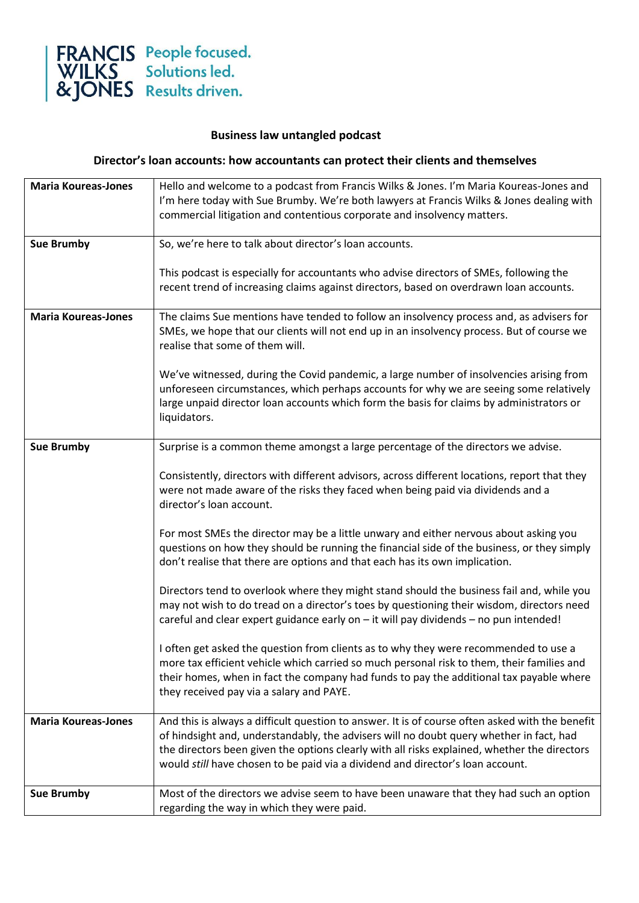

## **Business law untangled podcast**

## **Director's loan accounts: how accountants can protect their clients and themselves**

| <b>Maria Koureas-Jones</b> | Hello and welcome to a podcast from Francis Wilks & Jones. I'm Maria Koureas-Jones and          |
|----------------------------|-------------------------------------------------------------------------------------------------|
|                            | I'm here today with Sue Brumby. We're both lawyers at Francis Wilks & Jones dealing with        |
|                            | commercial litigation and contentious corporate and insolvency matters.                         |
|                            |                                                                                                 |
| <b>Sue Brumby</b>          | So, we're here to talk about director's loan accounts.                                          |
|                            |                                                                                                 |
|                            | This podcast is especially for accountants who advise directors of SMEs, following the          |
|                            | recent trend of increasing claims against directors, based on overdrawn loan accounts.          |
|                            |                                                                                                 |
| <b>Maria Koureas-Jones</b> | The claims Sue mentions have tended to follow an insolvency process and, as advisers for        |
|                            | SMEs, we hope that our clients will not end up in an insolvency process. But of course we       |
|                            | realise that some of them will.                                                                 |
|                            | We've witnessed, during the Covid pandemic, a large number of insolvencies arising from         |
|                            | unforeseen circumstances, which perhaps accounts for why we are seeing some relatively          |
|                            | large unpaid director loan accounts which form the basis for claims by administrators or        |
|                            | liquidators.                                                                                    |
|                            |                                                                                                 |
| <b>Sue Brumby</b>          | Surprise is a common theme amongst a large percentage of the directors we advise.               |
|                            |                                                                                                 |
|                            | Consistently, directors with different advisors, across different locations, report that they   |
|                            | were not made aware of the risks they faced when being paid via dividends and a                 |
|                            | director's loan account.                                                                        |
|                            |                                                                                                 |
|                            | For most SMEs the director may be a little unwary and either nervous about asking you           |
|                            | questions on how they should be running the financial side of the business, or they simply      |
|                            | don't realise that there are options and that each has its own implication.                     |
|                            |                                                                                                 |
|                            | Directors tend to overlook where they might stand should the business fail and, while you       |
|                            | may not wish to do tread on a director's toes by questioning their wisdom, directors need       |
|                            | careful and clear expert guidance early on - it will pay dividends - no pun intended!           |
|                            | I often get asked the question from clients as to why they were recommended to use a            |
|                            | more tax efficient vehicle which carried so much personal risk to them, their families and      |
|                            | their homes, when in fact the company had funds to pay the additional tax payable where         |
|                            | they received pay via a salary and PAYE.                                                        |
|                            |                                                                                                 |
| <b>Maria Koureas-Jones</b> | And this is always a difficult question to answer. It is of course often asked with the benefit |
|                            | of hindsight and, understandably, the advisers will no doubt query whether in fact, had         |
|                            | the directors been given the options clearly with all risks explained, whether the directors    |
|                            | would still have chosen to be paid via a dividend and director's loan account.                  |
|                            |                                                                                                 |
| <b>Sue Brumby</b>          | Most of the directors we advise seem to have been unaware that they had such an option          |
|                            | regarding the way in which they were paid.                                                      |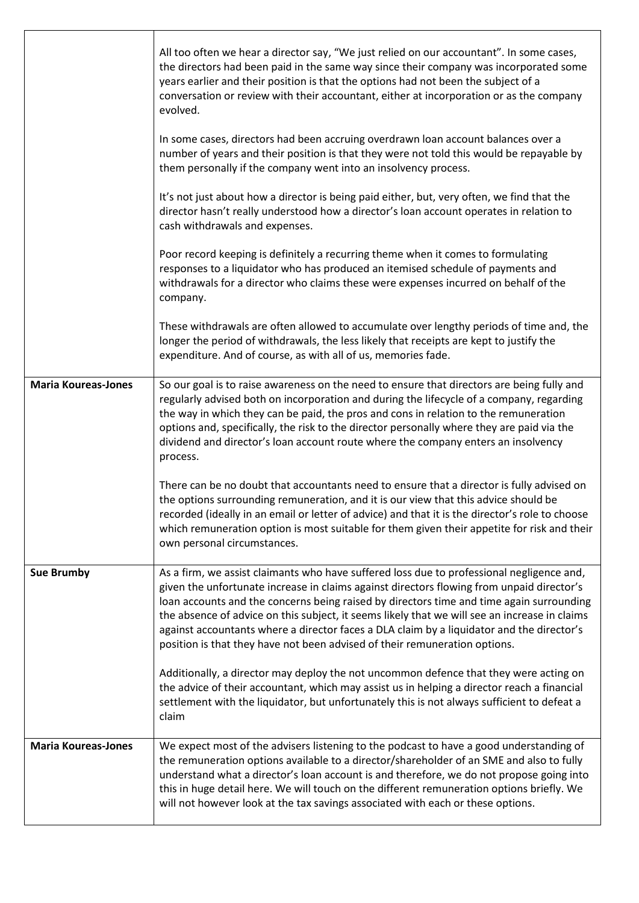|                            | All too often we hear a director say, "We just relied on our accountant". In some cases,<br>the directors had been paid in the same way since their company was incorporated some<br>years earlier and their position is that the options had not been the subject of a<br>conversation or review with their accountant, either at incorporation or as the company<br>evolved.                                                                                                                                                                                 |
|----------------------------|----------------------------------------------------------------------------------------------------------------------------------------------------------------------------------------------------------------------------------------------------------------------------------------------------------------------------------------------------------------------------------------------------------------------------------------------------------------------------------------------------------------------------------------------------------------|
|                            | In some cases, directors had been accruing overdrawn loan account balances over a<br>number of years and their position is that they were not told this would be repayable by<br>them personally if the company went into an insolvency process.                                                                                                                                                                                                                                                                                                               |
|                            | It's not just about how a director is being paid either, but, very often, we find that the<br>director hasn't really understood how a director's loan account operates in relation to<br>cash withdrawals and expenses.                                                                                                                                                                                                                                                                                                                                        |
|                            | Poor record keeping is definitely a recurring theme when it comes to formulating<br>responses to a liquidator who has produced an itemised schedule of payments and<br>withdrawals for a director who claims these were expenses incurred on behalf of the<br>company.                                                                                                                                                                                                                                                                                         |
|                            | These withdrawals are often allowed to accumulate over lengthy periods of time and, the<br>longer the period of withdrawals, the less likely that receipts are kept to justify the<br>expenditure. And of course, as with all of us, memories fade.                                                                                                                                                                                                                                                                                                            |
| <b>Maria Koureas-Jones</b> | So our goal is to raise awareness on the need to ensure that directors are being fully and<br>regularly advised both on incorporation and during the lifecycle of a company, regarding<br>the way in which they can be paid, the pros and cons in relation to the remuneration<br>options and, specifically, the risk to the director personally where they are paid via the<br>dividend and director's loan account route where the company enters an insolvency<br>process.                                                                                  |
|                            | There can be no doubt that accountants need to ensure that a director is fully advised on<br>the options surrounding remuneration, and it is our view that this advice should be<br>recorded (ideally in an email or letter of advice) and that it is the director's role to choose<br>which remuneration option is most suitable for them given their appetite for risk and their<br>own personal circumstances.                                                                                                                                              |
| <b>Sue Brumby</b>          | As a firm, we assist claimants who have suffered loss due to professional negligence and,<br>given the unfortunate increase in claims against directors flowing from unpaid director's<br>loan accounts and the concerns being raised by directors time and time again surrounding<br>the absence of advice on this subject, it seems likely that we will see an increase in claims<br>against accountants where a director faces a DLA claim by a liquidator and the director's<br>position is that they have not been advised of their remuneration options. |
|                            | Additionally, a director may deploy the not uncommon defence that they were acting on<br>the advice of their accountant, which may assist us in helping a director reach a financial<br>settlement with the liquidator, but unfortunately this is not always sufficient to defeat a<br>claim                                                                                                                                                                                                                                                                   |
| <b>Maria Koureas-Jones</b> | We expect most of the advisers listening to the podcast to have a good understanding of<br>the remuneration options available to a director/shareholder of an SME and also to fully<br>understand what a director's loan account is and therefore, we do not propose going into<br>this in huge detail here. We will touch on the different remuneration options briefly. We<br>will not however look at the tax savings associated with each or these options.                                                                                                |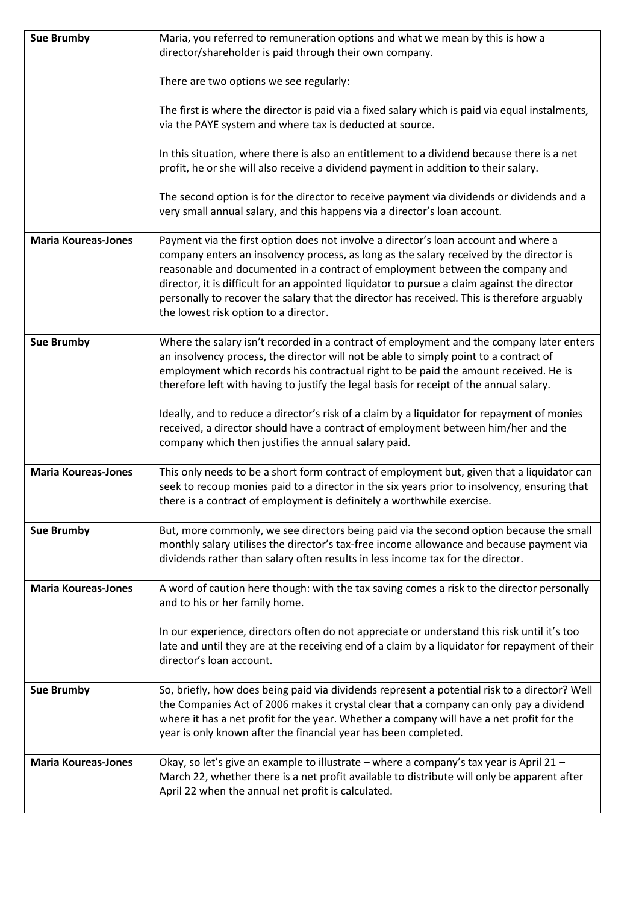| <b>Sue Brumby</b>          | Maria, you referred to remuneration options and what we mean by this is how a<br>director/shareholder is paid through their own company.                                                                                                                                                                                                                                                                                                                                                                |
|----------------------------|---------------------------------------------------------------------------------------------------------------------------------------------------------------------------------------------------------------------------------------------------------------------------------------------------------------------------------------------------------------------------------------------------------------------------------------------------------------------------------------------------------|
|                            | There are two options we see regularly:                                                                                                                                                                                                                                                                                                                                                                                                                                                                 |
|                            | The first is where the director is paid via a fixed salary which is paid via equal instalments,<br>via the PAYE system and where tax is deducted at source.                                                                                                                                                                                                                                                                                                                                             |
|                            | In this situation, where there is also an entitlement to a dividend because there is a net<br>profit, he or she will also receive a dividend payment in addition to their salary.                                                                                                                                                                                                                                                                                                                       |
|                            | The second option is for the director to receive payment via dividends or dividends and a<br>very small annual salary, and this happens via a director's loan account.                                                                                                                                                                                                                                                                                                                                  |
| <b>Maria Koureas-Jones</b> | Payment via the first option does not involve a director's loan account and where a<br>company enters an insolvency process, as long as the salary received by the director is<br>reasonable and documented in a contract of employment between the company and<br>director, it is difficult for an appointed liquidator to pursue a claim against the director<br>personally to recover the salary that the director has received. This is therefore arguably<br>the lowest risk option to a director. |
| <b>Sue Brumby</b>          | Where the salary isn't recorded in a contract of employment and the company later enters<br>an insolvency process, the director will not be able to simply point to a contract of<br>employment which records his contractual right to be paid the amount received. He is<br>therefore left with having to justify the legal basis for receipt of the annual salary.                                                                                                                                    |
|                            | Ideally, and to reduce a director's risk of a claim by a liquidator for repayment of monies<br>received, a director should have a contract of employment between him/her and the<br>company which then justifies the annual salary paid.                                                                                                                                                                                                                                                                |
| <b>Maria Koureas-Jones</b> | This only needs to be a short form contract of employment but, given that a liquidator can<br>seek to recoup monies paid to a director in the six years prior to insolvency, ensuring that<br>there is a contract of employment is definitely a worthwhile exercise.                                                                                                                                                                                                                                    |
| <b>Sue Brumby</b>          | But, more commonly, we see directors being paid via the second option because the small<br>monthly salary utilises the director's tax-free income allowance and because payment via<br>dividends rather than salary often results in less income tax for the director.                                                                                                                                                                                                                                  |
| <b>Maria Koureas-Jones</b> | A word of caution here though: with the tax saving comes a risk to the director personally<br>and to his or her family home.                                                                                                                                                                                                                                                                                                                                                                            |
|                            | In our experience, directors often do not appreciate or understand this risk until it's too<br>late and until they are at the receiving end of a claim by a liquidator for repayment of their<br>director's loan account.                                                                                                                                                                                                                                                                               |
| <b>Sue Brumby</b>          | So, briefly, how does being paid via dividends represent a potential risk to a director? Well<br>the Companies Act of 2006 makes it crystal clear that a company can only pay a dividend<br>where it has a net profit for the year. Whether a company will have a net profit for the<br>year is only known after the financial year has been completed.                                                                                                                                                 |
| <b>Maria Koureas-Jones</b> | Okay, so let's give an example to illustrate - where a company's tax year is April 21 -<br>March 22, whether there is a net profit available to distribute will only be apparent after<br>April 22 when the annual net profit is calculated.                                                                                                                                                                                                                                                            |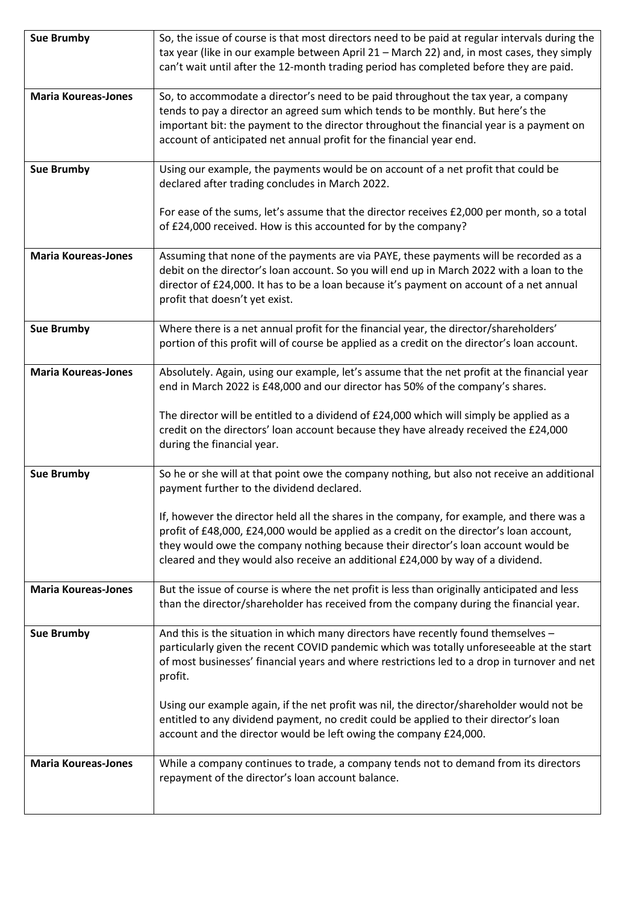| <b>Sue Brumby</b>          | So, the issue of course is that most directors need to be paid at regular intervals during the<br>tax year (like in our example between April 21 - March 22) and, in most cases, they simply                                                                                                                                                                 |
|----------------------------|--------------------------------------------------------------------------------------------------------------------------------------------------------------------------------------------------------------------------------------------------------------------------------------------------------------------------------------------------------------|
|                            | can't wait until after the 12-month trading period has completed before they are paid.                                                                                                                                                                                                                                                                       |
| <b>Maria Koureas-Jones</b> | So, to accommodate a director's need to be paid throughout the tax year, a company                                                                                                                                                                                                                                                                           |
|                            | tends to pay a director an agreed sum which tends to be monthly. But here's the<br>important bit: the payment to the director throughout the financial year is a payment on                                                                                                                                                                                  |
|                            | account of anticipated net annual profit for the financial year end.                                                                                                                                                                                                                                                                                         |
| <b>Sue Brumby</b>          | Using our example, the payments would be on account of a net profit that could be<br>declared after trading concludes in March 2022.                                                                                                                                                                                                                         |
|                            | For ease of the sums, let's assume that the director receives £2,000 per month, so a total<br>of £24,000 received. How is this accounted for by the company?                                                                                                                                                                                                 |
| <b>Maria Koureas-Jones</b> | Assuming that none of the payments are via PAYE, these payments will be recorded as a                                                                                                                                                                                                                                                                        |
|                            | debit on the director's loan account. So you will end up in March 2022 with a loan to the<br>director of £24,000. It has to be a loan because it's payment on account of a net annual<br>profit that doesn't yet exist.                                                                                                                                      |
| <b>Sue Brumby</b>          | Where there is a net annual profit for the financial year, the director/shareholders'<br>portion of this profit will of course be applied as a credit on the director's loan account.                                                                                                                                                                        |
| <b>Maria Koureas-Jones</b> | Absolutely. Again, using our example, let's assume that the net profit at the financial year<br>end in March 2022 is £48,000 and our director has 50% of the company's shares.                                                                                                                                                                               |
|                            | The director will be entitled to a dividend of £24,000 which will simply be applied as a<br>credit on the directors' loan account because they have already received the £24,000<br>during the financial year.                                                                                                                                               |
| <b>Sue Brumby</b>          | So he or she will at that point owe the company nothing, but also not receive an additional<br>payment further to the dividend declared.                                                                                                                                                                                                                     |
|                            | If, however the director held all the shares in the company, for example, and there was a<br>profit of £48,000, £24,000 would be applied as a credit on the director's loan account,<br>they would owe the company nothing because their director's loan account would be<br>cleared and they would also receive an additional £24,000 by way of a dividend. |
| <b>Maria Koureas-Jones</b> | But the issue of course is where the net profit is less than originally anticipated and less<br>than the director/shareholder has received from the company during the financial year.                                                                                                                                                                       |
| <b>Sue Brumby</b>          | And this is the situation in which many directors have recently found themselves -<br>particularly given the recent COVID pandemic which was totally unforeseeable at the start<br>of most businesses' financial years and where restrictions led to a drop in turnover and net<br>profit.                                                                   |
|                            | Using our example again, if the net profit was nil, the director/shareholder would not be<br>entitled to any dividend payment, no credit could be applied to their director's loan<br>account and the director would be left owing the company £24,000.                                                                                                      |
| <b>Maria Koureas-Jones</b> | While a company continues to trade, a company tends not to demand from its directors<br>repayment of the director's loan account balance.                                                                                                                                                                                                                    |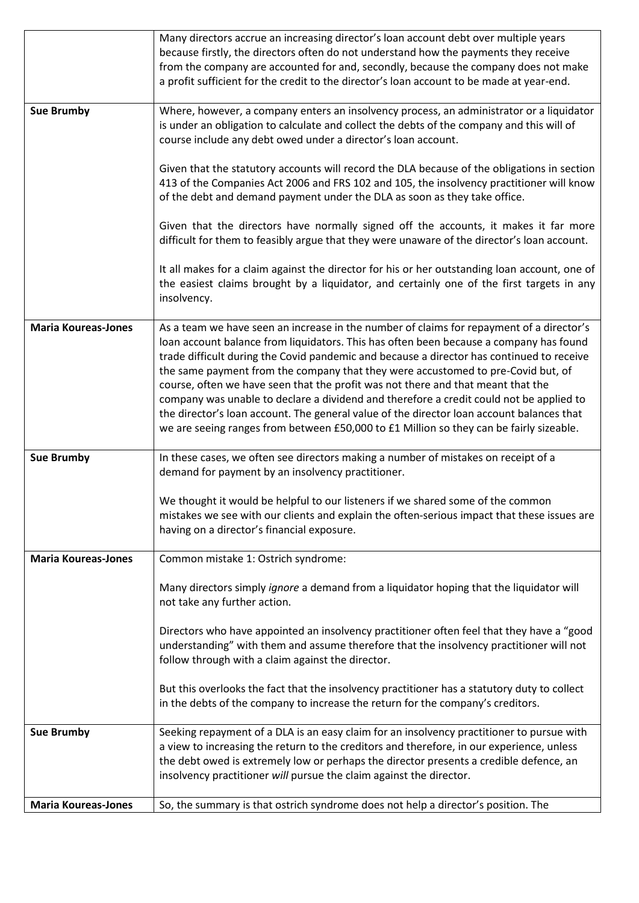|                            | Many directors accrue an increasing director's loan account debt over multiple years                                                                                                                                                                                                                                                                                                                                                                                                                                                                                                                                                                                                                                                       |
|----------------------------|--------------------------------------------------------------------------------------------------------------------------------------------------------------------------------------------------------------------------------------------------------------------------------------------------------------------------------------------------------------------------------------------------------------------------------------------------------------------------------------------------------------------------------------------------------------------------------------------------------------------------------------------------------------------------------------------------------------------------------------------|
|                            | because firstly, the directors often do not understand how the payments they receive<br>from the company are accounted for and, secondly, because the company does not make<br>a profit sufficient for the credit to the director's loan account to be made at year-end.                                                                                                                                                                                                                                                                                                                                                                                                                                                                   |
|                            |                                                                                                                                                                                                                                                                                                                                                                                                                                                                                                                                                                                                                                                                                                                                            |
| <b>Sue Brumby</b>          | Where, however, a company enters an insolvency process, an administrator or a liquidator<br>is under an obligation to calculate and collect the debts of the company and this will of                                                                                                                                                                                                                                                                                                                                                                                                                                                                                                                                                      |
|                            | course include any debt owed under a director's loan account.                                                                                                                                                                                                                                                                                                                                                                                                                                                                                                                                                                                                                                                                              |
|                            | Given that the statutory accounts will record the DLA because of the obligations in section<br>413 of the Companies Act 2006 and FRS 102 and 105, the insolvency practitioner will know<br>of the debt and demand payment under the DLA as soon as they take office.                                                                                                                                                                                                                                                                                                                                                                                                                                                                       |
|                            | Given that the directors have normally signed off the accounts, it makes it far more<br>difficult for them to feasibly argue that they were unaware of the director's loan account.                                                                                                                                                                                                                                                                                                                                                                                                                                                                                                                                                        |
|                            | It all makes for a claim against the director for his or her outstanding loan account, one of<br>the easiest claims brought by a liquidator, and certainly one of the first targets in any<br>insolvency.                                                                                                                                                                                                                                                                                                                                                                                                                                                                                                                                  |
| <b>Maria Koureas-Jones</b> | As a team we have seen an increase in the number of claims for repayment of a director's<br>loan account balance from liquidators. This has often been because a company has found<br>trade difficult during the Covid pandemic and because a director has continued to receive<br>the same payment from the company that they were accustomed to pre-Covid but, of<br>course, often we have seen that the profit was not there and that meant that the<br>company was unable to declare a dividend and therefore a credit could not be applied to<br>the director's loan account. The general value of the director loan account balances that<br>we are seeing ranges from between £50,000 to £1 Million so they can be fairly sizeable. |
| <b>Sue Brumby</b>          | In these cases, we often see directors making a number of mistakes on receipt of a<br>demand for payment by an insolvency practitioner.                                                                                                                                                                                                                                                                                                                                                                                                                                                                                                                                                                                                    |
|                            | We thought it would be helpful to our listeners if we shared some of the common<br>mistakes we see with our clients and explain the often-serious impact that these issues are<br>having on a director's financial exposure.                                                                                                                                                                                                                                                                                                                                                                                                                                                                                                               |
| <b>Maria Koureas-Jones</b> | Common mistake 1: Ostrich syndrome:                                                                                                                                                                                                                                                                                                                                                                                                                                                                                                                                                                                                                                                                                                        |
|                            | Many directors simply ignore a demand from a liquidator hoping that the liquidator will<br>not take any further action.                                                                                                                                                                                                                                                                                                                                                                                                                                                                                                                                                                                                                    |
|                            | Directors who have appointed an insolvency practitioner often feel that they have a "good                                                                                                                                                                                                                                                                                                                                                                                                                                                                                                                                                                                                                                                  |
|                            | understanding" with them and assume therefore that the insolvency practitioner will not                                                                                                                                                                                                                                                                                                                                                                                                                                                                                                                                                                                                                                                    |
|                            | follow through with a claim against the director.                                                                                                                                                                                                                                                                                                                                                                                                                                                                                                                                                                                                                                                                                          |
|                            | But this overlooks the fact that the insolvency practitioner has a statutory duty to collect<br>in the debts of the company to increase the return for the company's creditors.                                                                                                                                                                                                                                                                                                                                                                                                                                                                                                                                                            |
| <b>Sue Brumby</b>          | Seeking repayment of a DLA is an easy claim for an insolvency practitioner to pursue with                                                                                                                                                                                                                                                                                                                                                                                                                                                                                                                                                                                                                                                  |
|                            | a view to increasing the return to the creditors and therefore, in our experience, unless<br>the debt owed is extremely low or perhaps the director presents a credible defence, an                                                                                                                                                                                                                                                                                                                                                                                                                                                                                                                                                        |
|                            | insolvency practitioner will pursue the claim against the director.                                                                                                                                                                                                                                                                                                                                                                                                                                                                                                                                                                                                                                                                        |
|                            |                                                                                                                                                                                                                                                                                                                                                                                                                                                                                                                                                                                                                                                                                                                                            |
| <b>Maria Koureas-Jones</b> | So, the summary is that ostrich syndrome does not help a director's position. The                                                                                                                                                                                                                                                                                                                                                                                                                                                                                                                                                                                                                                                          |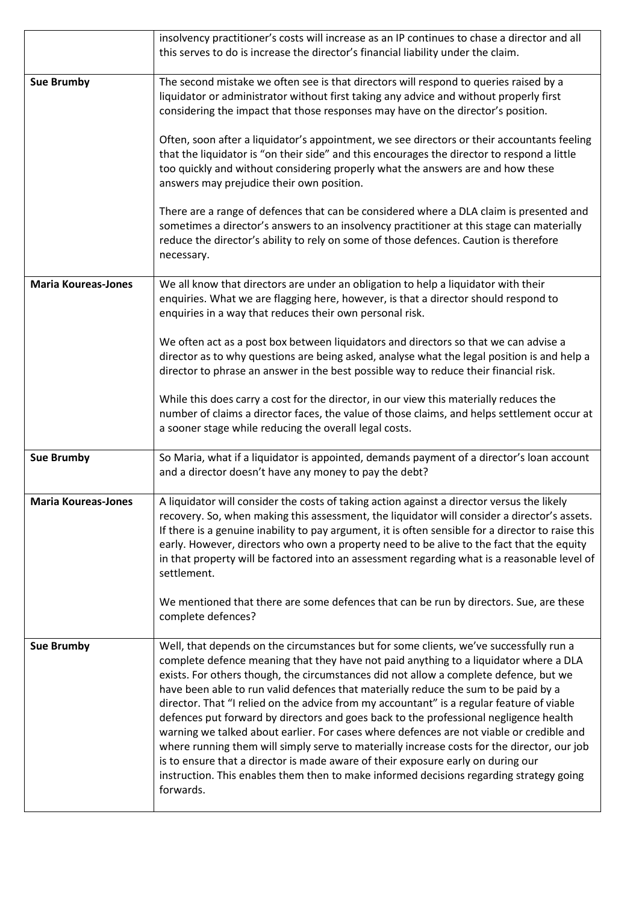|                            | insolvency practitioner's costs will increase as an IP continues to chase a director and all<br>this serves to do is increase the director's financial liability under the claim.                                                                                                                                                                                                                                                                                                                                                                                                                                                                                                                                                                                                                                                                                                                                                            |
|----------------------------|----------------------------------------------------------------------------------------------------------------------------------------------------------------------------------------------------------------------------------------------------------------------------------------------------------------------------------------------------------------------------------------------------------------------------------------------------------------------------------------------------------------------------------------------------------------------------------------------------------------------------------------------------------------------------------------------------------------------------------------------------------------------------------------------------------------------------------------------------------------------------------------------------------------------------------------------|
| <b>Sue Brumby</b>          | The second mistake we often see is that directors will respond to queries raised by a<br>liquidator or administrator without first taking any advice and without properly first<br>considering the impact that those responses may have on the director's position.                                                                                                                                                                                                                                                                                                                                                                                                                                                                                                                                                                                                                                                                          |
|                            | Often, soon after a liquidator's appointment, we see directors or their accountants feeling<br>that the liquidator is "on their side" and this encourages the director to respond a little<br>too quickly and without considering properly what the answers are and how these<br>answers may prejudice their own position.                                                                                                                                                                                                                                                                                                                                                                                                                                                                                                                                                                                                                   |
|                            | There are a range of defences that can be considered where a DLA claim is presented and<br>sometimes a director's answers to an insolvency practitioner at this stage can materially<br>reduce the director's ability to rely on some of those defences. Caution is therefore<br>necessary.                                                                                                                                                                                                                                                                                                                                                                                                                                                                                                                                                                                                                                                  |
| <b>Maria Koureas-Jones</b> | We all know that directors are under an obligation to help a liquidator with their<br>enquiries. What we are flagging here, however, is that a director should respond to<br>enquiries in a way that reduces their own personal risk.                                                                                                                                                                                                                                                                                                                                                                                                                                                                                                                                                                                                                                                                                                        |
|                            | We often act as a post box between liquidators and directors so that we can advise a<br>director as to why questions are being asked, analyse what the legal position is and help a<br>director to phrase an answer in the best possible way to reduce their financial risk.                                                                                                                                                                                                                                                                                                                                                                                                                                                                                                                                                                                                                                                                 |
|                            | While this does carry a cost for the director, in our view this materially reduces the<br>number of claims a director faces, the value of those claims, and helps settlement occur at<br>a sooner stage while reducing the overall legal costs.                                                                                                                                                                                                                                                                                                                                                                                                                                                                                                                                                                                                                                                                                              |
| <b>Sue Brumby</b>          | So Maria, what if a liquidator is appointed, demands payment of a director's loan account<br>and a director doesn't have any money to pay the debt?                                                                                                                                                                                                                                                                                                                                                                                                                                                                                                                                                                                                                                                                                                                                                                                          |
| <b>Maria Koureas-Jones</b> | A liquidator will consider the costs of taking action against a director versus the likely<br>recovery. So, when making this assessment, the liquidator will consider a director's assets.<br>If there is a genuine inability to pay argument, it is often sensible for a director to raise this<br>early. However, directors who own a property need to be alive to the fact that the equity<br>in that property will be factored into an assessment regarding what is a reasonable level of<br>settlement.                                                                                                                                                                                                                                                                                                                                                                                                                                 |
|                            | We mentioned that there are some defences that can be run by directors. Sue, are these<br>complete defences?                                                                                                                                                                                                                                                                                                                                                                                                                                                                                                                                                                                                                                                                                                                                                                                                                                 |
| <b>Sue Brumby</b>          | Well, that depends on the circumstances but for some clients, we've successfully run a<br>complete defence meaning that they have not paid anything to a liquidator where a DLA<br>exists. For others though, the circumstances did not allow a complete defence, but we<br>have been able to run valid defences that materially reduce the sum to be paid by a<br>director. That "I relied on the advice from my accountant" is a regular feature of viable<br>defences put forward by directors and goes back to the professional negligence health<br>warning we talked about earlier. For cases where defences are not viable or credible and<br>where running them will simply serve to materially increase costs for the director, our job<br>is to ensure that a director is made aware of their exposure early on during our<br>instruction. This enables them then to make informed decisions regarding strategy going<br>forwards. |